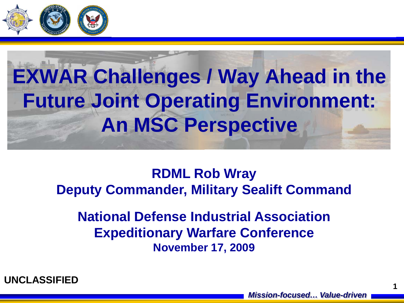

## **EXWAR Challenges / Way Ahead in the Future Joint Operating Environment: An MSC Perspective**

**RDML Rob Wray Deputy Commander, Military Sealift Command**

**National Defense Industrial Association Expeditionary Warfare Conference November 17, 2009**



**1**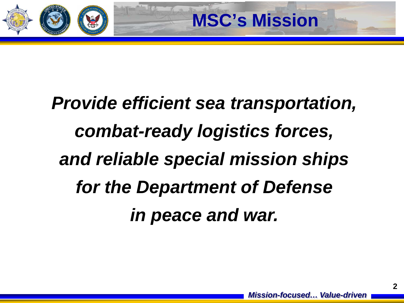

## *Provide efficient sea transportation, combat-ready logistics forces, and reliable special mission ships for the Department of Defense in peace and war.*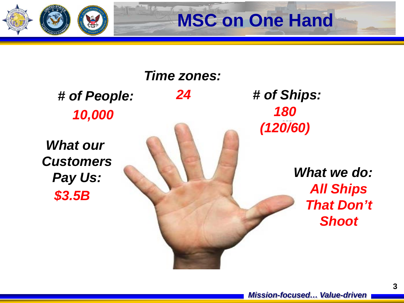

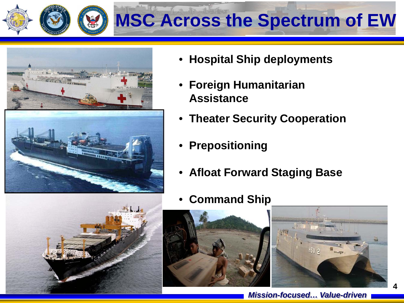



• **Hospital Ship deployments**

**MSC Across the Spectrum of EW**

- **Foreign Humanitarian Assistance**
- **Theater Security Cooperation**
- **Prepositioning**
- **Afloat Forward Staging Base**
- **Command Ship**





**4**

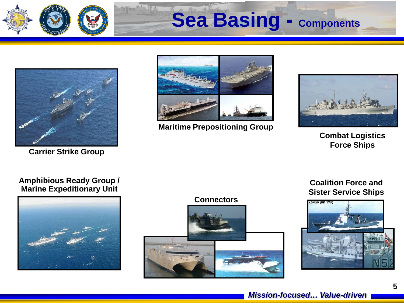

## **Sea Basing - Components**



**Carrier Strike Group**



**Maritime Prepositioning Group**



**Combat Logistics Force Ships**

#### **Amphibious Ready Group / Marine Expeditionary Unit**



#### **Connectors**



#### **Coalition Force and Sister Service Ships**

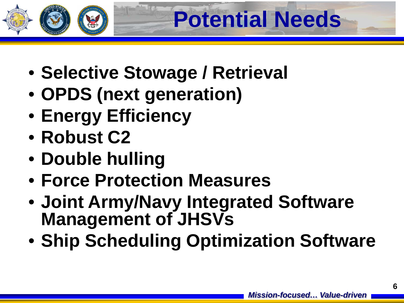

- **Selective Stowage / Retrieval**
- **OPDS (next generation)**
- **Energy Efficiency**
- **Robust C2**
- **Double hulling**
- **Force Protection Measures**
- **Joint Army/Navy Integrated Software Management of JHSVs**
- **Ship Scheduling Optimization Software**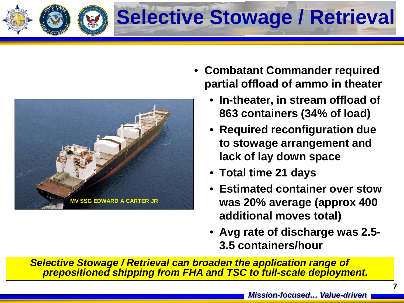



- **Combatant Commander required partial offload of ammo in theater**
	- **In-theater, in stream offload of 863 containers (34% of load)**
	- **Required reconfiguration due to stowage arrangement and lack of lay down space**
	- **Total time 21 days**
	- **Estimated container over stow was 20% average (approx 400 additional moves total)**
	- **Avg rate of discharge was 2.5- 3.5 containers/hour**

*Selective Stowage / Retrieval can broaden the application range of prepositioned shipping from FHA and TSC to full-scale deployment.*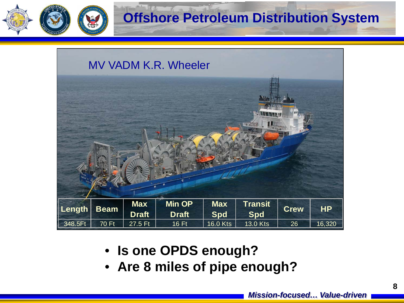

### **Offshore Petroleum Distribution System**

|         |              |              | MV VADM K.R. Wheeler |            |                                    |             |           |
|---------|--------------|--------------|----------------------|------------|------------------------------------|-------------|-----------|
|         |              |              |                      |            | <b>ANTENNA</b><br><b>Parantsin</b> |             |           |
| Length  | <b>Beam</b>  | <b>Max</b>   | <b>Min OP</b>        | <b>Max</b> | <b>Transit</b>                     | <b>Crew</b> | <b>HP</b> |
|         |              | <b>Draft</b> | <b>Draft</b>         | <b>Spd</b> | <b>Spd</b>                         |             |           |
| 348.5Ft | <b>70 Ft</b> | 27.5 Ft      | 16 Ft                | 16.0 Kts   | 13.0 Kts                           | 26          | 16,320    |

- **Is one OPDS enough?**
- **Are 8 miles of pipe enough?**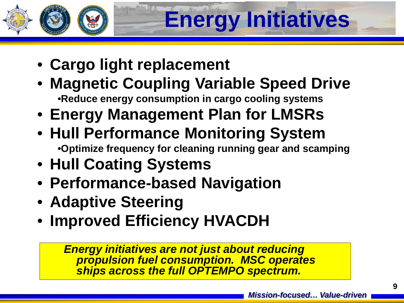# **Energy Initiatives**

- **Cargo light replacement**
- **Magnetic Coupling Variable Speed Drive** •**Reduce energy consumption in cargo cooling systems**
- **Energy Management Plan for LMSRs**
- **Hull Performance Monitoring System** •**Optimize frequency for cleaning running gear and scamping**
- **Hull Coating Systems**
- **Performance-based Navigation**
- **Adaptive Steering**
- **Improved Efficiency HVACDH**

*Energy initiatives are not just about reducing propulsion fuel consumption. MSC operates ships across the full OPTEMPO spectrum.*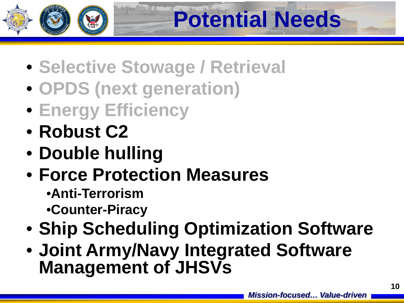

- **Selective Stowage / Retrieval**
- **OPDS (next generation)**
- **Energy Efficiency**
- **Robust C2**
- **Double hulling**
- **Force Protection Measures**
	- •**Anti-Terrorism**
	- •**Counter-Piracy**
- **Ship Scheduling Optimization Software**
- **Joint Army/Navy Integrated Software Management of JHSVs**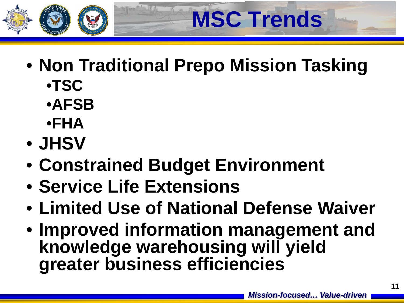

• **Non Traditional Prepo Mission Tasking** •**TSC**

**MSC Trends**

- •**AFSB**
- •**FHA**
- **JHSV**
- **Constrained Budget Environment**
- **Service Life Extensions**
- **Limited Use of National Defense Waiver**
- **Improved information management and knowledge warehousing will yield greater business efficiencies**